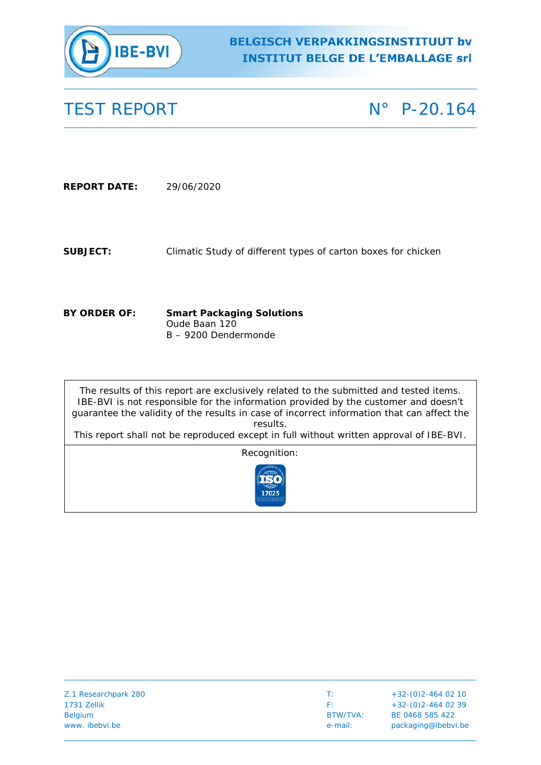

# **BELGISCH VERPAKKINGSINSTITUUT bv INSTITUT BELGE DE L'EMBALLAGE Srl**

TEST REPORT N° P-20.164

**REPORT DATE:** 29/06/2020

**SUBJECT:** Climatic Study of different types of carton boxes for chicken

**BY ORDER OF: Smart Packaging Solutions** Oude Baan 120 B – 9200 Dendermonde

The results of this report are exclusively related to the submitted and tested items. IBE-BVI is not responsible for the information provided by the customer and doesn't guarantee the validity of the results in case of incorrect information that can affect the results.

This report shall not be reproduced except in full without written approval of IBE-BVI.

Recognition:



| Z.1 Researchpark 280 | <b>START</b> | $+32-(0)2-464$ 02 10 |
|----------------------|--------------|----------------------|
| 1731 Zellik          | E.           | $+32-(0)2-464$ 02 39 |
| Belgium              | BTW/TVA:     | BE 0468 585 422      |
| www. ibebvi.be       | e-mail:      | packaging@ibebvi.be  |
|                      |              |                      |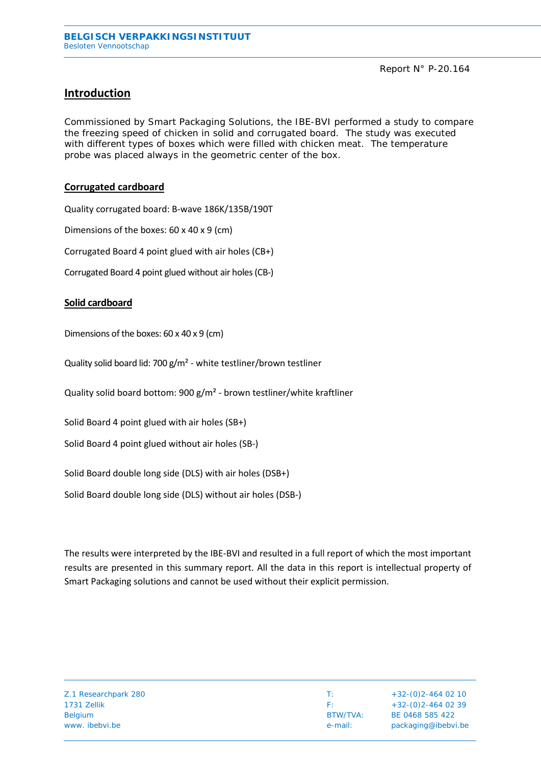## **Introduction**

Commissioned by Smart Packaging Solutions, the IBE-BVI performed a study to compare the freezing speed of chicken in solid and corrugated board. The study was executed with different types of boxes which were filled with chicken meat. The temperature probe was placed always in the geometric center of the box.

### **Corrugated cardboard**

Quality corrugated board: B-wave 186K/135B/190T

Dimensions of the boxes: 60 x 40 x 9 (cm)

Corrugated Board 4 point glued with air holes (CB+)

Corrugated Board 4 point glued without air holes (CB-)

#### **Solid cardboard**

Dimensions of the boxes: 60 x 40 x 9 (cm)

Quality solid board lid: 700 g/m² - white testliner/brown testliner

Quality solid board bottom: 900 g/m² - brown testliner/white kraftliner

Solid Board 4 point glued with air holes (SB+)

Solid Board 4 point glued without air holes (SB-)

Solid Board double long side (DLS) with air holes (DSB+)

Solid Board double long side (DLS) without air holes (DSB-)

The results were interpreted by the IBE-BVI and resulted in a full report of which the most important results are presented in this summary report. All the data in this report is intellectual property of Smart Packaging solutions and cannot be used without their explicit permission.

| Z.1 Researchpark 280 |
|----------------------|
| 1731 Zellik          |
| <b>Belgium</b>       |
| www. ibebyi.be       |

 $\overline{1}$ : +32-(0)2-464 02 10  $F: +32-(0)2-464 02 39$ BTW/TVA: BE 0468 585 422 e-mail: packaging@ibebvi.be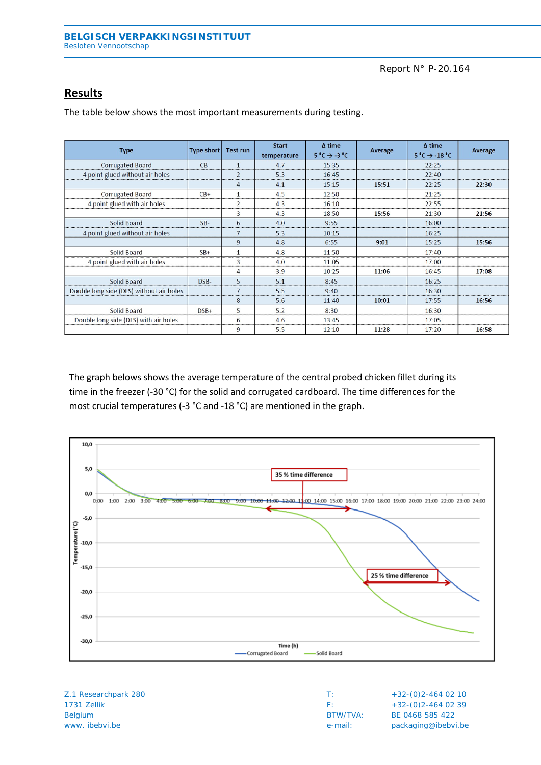### Report N° P-20.164

## **Results**

| <b>Type</b>                              | Type short | <b>Test run</b>         | <b>Start</b><br>temperature | $\Delta$ time<br>$5^{\circ}C \rightarrow -3^{\circ}C$ | Average | $\Delta$ time<br>$5^{\circ}$ C $\rightarrow$ -18 $^{\circ}$ C | Average |
|------------------------------------------|------------|-------------------------|-----------------------------|-------------------------------------------------------|---------|---------------------------------------------------------------|---------|
| <b>Corrugated Board</b>                  | $CB-$      | $\mathbf{1}$            | 4.7                         | 15:35                                                 |         | 22:25                                                         |         |
| 4 point glued without air holes          |            | $\overline{2}$<br>      | 5.3                         | 16:45                                                 |         | 22:40                                                         |         |
|                                          |            |                         | 4.1                         | 15:15                                                 | 15:51   | 22:25                                                         | 22:30   |
| <b>Corrugated Board</b>                  | $CB+$      |                         | 4.5                         | 12:50                                                 |         | 21:25                                                         |         |
| 4 point glued with air holes             |            | $\overline{\mathbf{c}}$ | 4.3                         | 16:10                                                 |         | 22:55                                                         |         |
|                                          |            | 3                       | 4.3                         | 18:50                                                 | 15:56   | 21:30                                                         | 21:56   |
| Solid Board                              | $SB-$      | 6                       | 4.0                         | 9:55                                                  |         | 16:00                                                         |         |
| 4 point glued without air holes          |            | 7                       | 5.3                         | 10:15                                                 |         | 16:25                                                         |         |
|                                          |            | 9                       | 4.8                         | 6:55                                                  | 9:01    | 15:25                                                         | 15:56   |
| Solid Board                              | $SB+$      |                         | 4.8                         | 11:50                                                 |         | 17:40                                                         |         |
| 4 point glued with air holes             |            | 3                       | 4.0                         | 11:05                                                 |         | 17:00                                                         |         |
|                                          |            | 4                       | 3.9                         | 10:25                                                 | 11:06   | 16:45                                                         | 17:08   |
| Solid Board                              | DSB-       | 5                       | 5.1                         | 8:45                                                  |         | 16:25                                                         |         |
| Double long side (DLS) without air holes |            |                         | 5.5                         | 9:40                                                  |         | 16:30                                                         |         |
|                                          |            | 8                       | 5.6                         | 11:40                                                 | 10:01   | 17:55                                                         | 16:56   |
| Solid Board                              | $DSB+$     | 5                       | 5.2                         | 8:30                                                  |         | 16:30                                                         |         |
| Double long side (DLS) with air holes    |            | 6<br>                   | 4.6                         | 13:45                                                 |         | 17:05                                                         |         |
|                                          |            | 9                       | 5.5                         | 12:10                                                 | 11:28   | 17:20                                                         | 16:58   |

The table below shows the most important measurements during testing.

The graph belows shows the average temperature of the central probed chicken fillet during its time in the freezer (-30 °C) for the solid and corrugated cardboard. The time differences for the most crucial temperatures (-3 °C and -18 °C) are mentioned in the graph.



| Z.1 Researchpark 280 | т٠       | $+32-(0)2-464$ 02 10 |
|----------------------|----------|----------------------|
| 1731 Zellik          | H.       | $+32-(0)2-464$ 02 39 |
| <b>Belgium</b>       | BTW/TVA: | BE 0468 585 422      |
| www. ibebyi.be       | e-mail:  | packaging@ibebvi.be  |
|                      |          |                      |